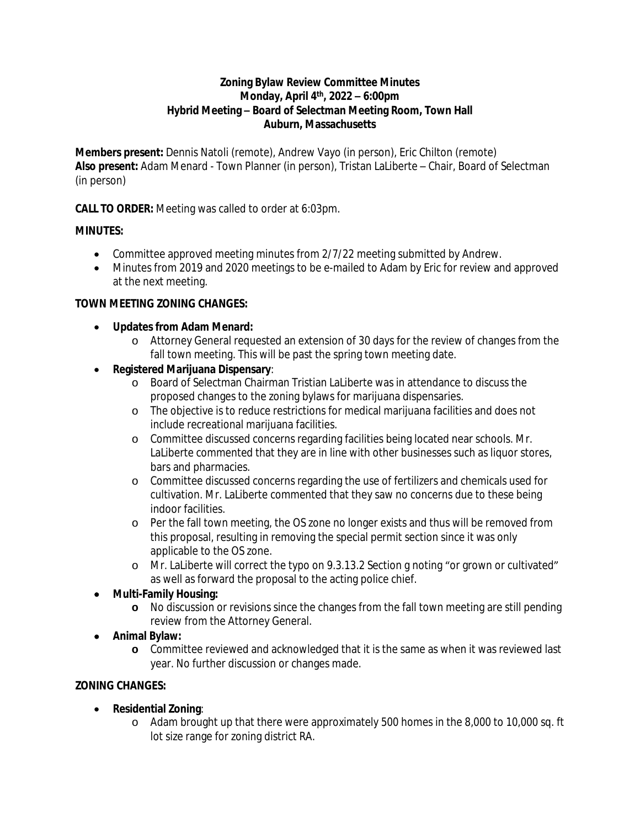### **Zoning Bylaw Review Committee Minutes Monday, April 4 th, 2022 – 6:00pm Hybrid Meeting – Board of Selectman Meeting Room, Town Hall Auburn, Massachusetts**

**Members present:** Dennis Natoli (remote), Andrew Vayo (in person), Eric Chilton (remote) **Also present:** Adam Menard - Town Planner (in person), Tristan LaLiberte – Chair, Board of Selectman (in person)

**CALL TO ORDER:** Meeting was called to order at 6:03pm.

## **MINUTES:**

- Committee approved meeting minutes from 2/7/22 meeting submitted by Andrew.
- Minutes from 2019 and 2020 meetings to be e-mailed to Adam by Eric for review and approved at the next meeting.

## **TOWN MEETING ZONING CHANGES:**

- **Updates from Adam Menard:**
	- o Attorney General requested an extension of 30 days for the review of changes from the fall town meeting. This will be past the spring town meeting date.
- **Registered Marijuana Dispensary**:
	- o Board of Selectman Chairman Tristian LaLiberte was in attendance to discuss the proposed changes to the zoning bylaws for marijuana dispensaries.
	- o The objective is to reduce restrictions for medical marijuana facilities and does not include recreational marijuana facilities.
	- o Committee discussed concerns regarding facilities being located near schools. Mr. LaLiberte commented that they are in line with other businesses such as liquor stores, bars and pharmacies.
	- o Committee discussed concerns regarding the use of fertilizers and chemicals used for cultivation. Mr. LaLiberte commented that they saw no concerns due to these being indoor facilities.
	- o Per the fall town meeting, the OS zone no longer exists and thus will be removed from this proposal, resulting in removing the special permit section since it was only applicable to the OS zone.
	- o Mr. LaLiberte will correct the typo on 9.3.13.2 Section g noting "or grown or cultivated" as well as forward the proposal to the acting police chief.

# **Multi-Family Housing:**

- **o** No discussion or revisions since the changes from the fall town meeting are still pending review from the Attorney General.
- **Animal Bylaw:**
	- **o** Committee reviewed and acknowledged that it is the same as when it was reviewed last year. No further discussion or changes made.

# **ZONING CHANGES:**

- **Residential Zoning**:
	- o Adam brought up that there were approximately 500 homes in the 8,000 to 10,000 sq. ft lot size range for zoning district RA.